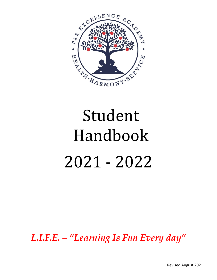

# Student Handbook 2021 - 2022

*L.I.F.E. – "Learning Is Fun Every day"*

Revised August 2021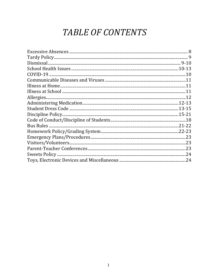# TABLE OF CONTENTS

| .24 |
|-----|
|     |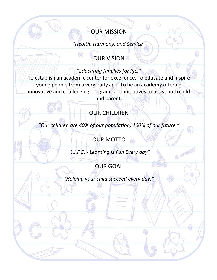### OUR MISSION

*"Health, Harmony, and Service"*

# **OUR VISION**

*"Educating families for life."*

To establish an academic center for excellence. To educate and inspire young people from a very early age. To be an academy offering innovative and challenging programs and initiatives to assist both child and parent.

# OUR CHILDREN

*"Our children are 40% of our population, 100% of our future."*

# OUR MOTTO

*"L.I.F.E. - Learning Is Fun Every day"*

@ 2000

# OUR GOAL

*"Helping your child succeed every day."*

EN T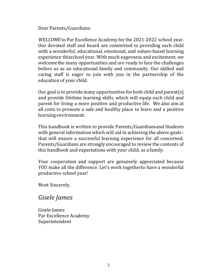Dear Parents/Guardians:

*WELCOME* to Par Excellence Academy for the 2021-2022 school year. Our devoted staff and board are committed to providing each child with a wonderful, educational, emotional, and values-based learning experience thisschool year. With much eagerness and excitement, we welcomethe many opportunities and are ready to face the challenges before us as an educational family and community. Our skilled and caring staff is eager to join with you in the partnership of the education of your child.

Our goal is to provide many opportunities for both child and parent(s) and provide lifetime learning skills, which will equip each child and parent for living a more positive and productive life. We also aim at all costs to promote a safe and healthy place to learn and a positive learning environment.

This handbook is written to provide Parents/Guardiansand Students with general information which will aid in achieving the above goals– that will ensure a successful learning experience for all concerned. Parents/Guardians are strongly encouraged to review the contents of this handbook and expectations with your child, as a family.

Your cooperation and support are genuinely appreciated because *YOU* make all the difference. Let's work togetherto have a wonderful productive school year!

Most Sincerely,

#### *Gisele James*

Gisele James Par Excellence Academy Superintendent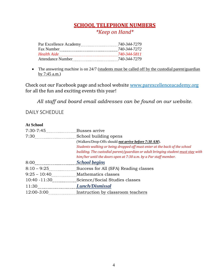# **SCHOOL TELEPHONE NUMBERS**

*\*Keep on Hand\**

| Par Excellence Academy   | 740-344-7279 |
|--------------------------|--------------|
| <b>Fax Number</b>        | 740-344-7272 |
| <b>Health Aide</b>       | 740-344-5811 |
| <b>Attendance Number</b> | 740-344-7279 |
|                          |              |

• The answering machine is on 24/7 (students must be called off by the custodial parent/guardian by 7:45 a.m.)

Check out our Facebook page and school website www.parexcellenceacademy.org for all the fun and exciting events this year!

*All staff and board email addresses can be found on our website.*

#### DAILY SCHEDULE

#### **At School**

| 7:30-7:45      | Busses arrive                                                                    |
|----------------|----------------------------------------------------------------------------------|
| 7:30           | School building opens                                                            |
|                | (Walkers/Drop-Offs should not arrive before 7:30 AM).                            |
|                | Students walking or being dropped off must enter at the back of the school       |
|                | building. The custodial parent/guardian or adult bringing student must stay with |
|                | him/her until the doors open at 7:30 a.m. by a Par staff member.                 |
|                | <b>School begins</b>                                                             |
| $8:10 - 9:25$  | Success for All (SFA) Reading classes                                            |
| $9:25 - 10:40$ | Mathematics classes                                                              |
|                | 10:40 -11:30 Science/Social Studies classes                                      |
| 11:30          | <b>Lunch/Dismissal</b>                                                           |
| 12:00-3:00     | Instruction by classroom teachers                                                |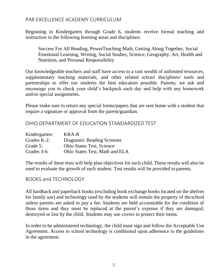#### PAR EXCELLENCE ACADEMY CURRICULUM

Beginning in Kindergarten through Grade 6, students receive formal teaching and instruction in the following learning areas and disciplines:

Success For All Reading, PowerTeaching Math, Getting Along Together, Social Emotional Learning, Writing, Social Studies, Science, Geography, Art, Health and Nutrition, and Personal Responsibility

Our knowledgeable teachers and staff have access to a vast wealth of unlimited resources, supplementary teaching materials, and other related school disciplines/ tools and partnerships to offer our students the best education possible. Parents, we ask and encourage you to check your child's backpack each day and help with any homework and/or special assignments.

Please make sure to return any special forms/papers that are sent home with a student that require a signature or approval from the parent/guardian.

OHIO DEPARTMENT OF EDUCATION STANDARDIZED TEST

| Kindergarten: | KRA-R                            |
|---------------|----------------------------------|
| Grades K-2:   | Diagnostic Reading Screener      |
| Grade 5:      | <b>Ohio States Test, Science</b> |
| Grades 3-6:   | Ohio States Test, Math and ELA   |

The results of these tests will help plan objectives for each child. These results will also be used to evaluate the growth of each student. Test results will be provided to parents.

#### BOOKS and TECHNOLOGY

All hardback and paperback books (excluding book exchange books located on the shelves for family use) and technology used by the students will remain the property of the school unless parents are asked to pay a fee. Students are held accountable for the condition of these items and they must be replaced at the parent's expense if they are damaged, destroyed or lost by the child. Students may use covers to protect their items.

In order to be administered technology, the child must sign and follow the Acceptable Use Agreement. Access to school technology is conditional upon adherence to the guidelines in the agreement.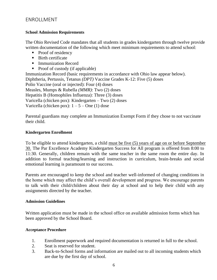#### ENROLLMENT

#### **School Admission Requirements**

The Ohio Revised Code mandates that all students in grades kindergarten through twelve provide written documentation of the following which meet minimum requirements to attend school:

- Proof of residency
- Birth certificate
- Immunization Record
- Proof of custody (if applicable)

Immunization Record (basic requirements in accordance with Ohio law appear below). Diphtheria, Pertussis, Tetanus *(DPT)* Vaccine Grades K-12: Five (5) doses Polio Vaccine (oral or injected): Four (4) doses Measles, Mumps & Rubella *(MMR)*: Two (2) doses Hepatitis B (Homophiles Influenza): Three (3) doses Varicella (chicken pox): Kindergarten – Two (2) doses Varicella (chicken pox):  $1 - 5 -$ One (1) dose

Parental guardians may complete an Immunization Exempt Form if they chose to not vaccinate their child.

#### **Kindergarten Enrollment**

To be eligible to attend kindergarten, a child must be five (5) years of age on or before September 30. The Par Excellence Academy Kindergarten Success for All program is offered from 8:00 to 11:30. Generally, children remain with the same teacher in the same room the entire day. In addition to formal teaching/learning and instruction in curriculum, brain-breaks and social emotional learning is paramount to our success.

Parents are encouraged to keep the school and teacher well-informed of changing conditions in the home which may affect the child's overall development and progress. We encourage parents to talk with their child/children about their day at school and to help their child with any assignments directed by the teacher.

#### **Admission Guidelines**

Written application must be made in the school office on available admission forms which has been approved by the School Board.

#### **Acceptance Procedure**

- 1. Enrollment paperwork and required documentation is returned in full to the school.
- 2. Seat is reserved for student.
- 3. Back-to-School forms and information are mailed out to all incoming students which are due by the first day of school.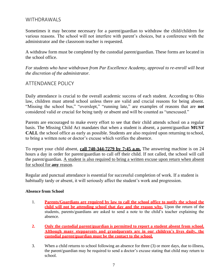#### WITHDRAWALS

Sometimes it may become necessary for a parent/guardian to withdraw the child/children for various reasons. The school will not interfere with parent's choices, but a conference with the administrator and the classroom teacher is requested.

A withdraw form must be completed by the custodial parent/guardian. These forms are located in the school office.

*For students who have withdrawn from Par Excellence Academy, approval to re-enroll will beat the discretion of the administrator.*

#### ATTENDANCE POLICY

Daily attendance is crucial to the overall academic success of each student. According to Ohio law, children must attend school unless there are valid and crucial reasons for being absent. "Missing the school bus," "overslept," "running late," are examples of reasons that are **not**  considered valid or crucial for being tardy or absent and will be counted as "unexcused."

Parents are encouraged to make every effort to see that their child attends school on a regular basis. The Missing Child Act mandates that when a student is absent, a parent/guardian **MUST CALL** the school office as early as possible. Students are also required upon returning to school, to bring a written note or doctor's excuse which verifies the absence.

To report your child absent, **call 740-344-7279 by 7:45 a.m.** The answering machine is on 24 hours a day in order for parent/guardian to call off their child. If not called, the school will call the parent/guardian. A student is also required to bring a written excuse upon return when absent for school for **any** reason.

Regular and punctual attendance is essential for successful completion of work. If a student is habitually tardy or absent, it will seriously affect the student's work and progression.

#### **Absence from School**

- 1. **Parents/Guardians are required by law to call the school office to notify the school the child will not be attending school that day and the reason why.** Upon the return of the students, parents/guardians are asked to send a note to the child's teacher explaining the absence.
- **2. Only the custodial parent/guardian is permitted to report a student absent from school. Although many stepparents and grandparents are in our children's lives daily, the custodial parent/guardian must be the contact to the school.**
- 3. When a child returns to school following an absence for three (3) or more days, due to illness, the parent/guardian may be required to send a doctor's excuse stating that child may return to school.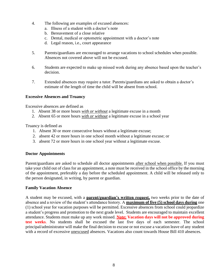- 4. The following are examples of excused absences:
	- a. Illness of a student with a doctor's note
	- b. Bereavement of a close relative
	- c. Dental, medical or optometric appointment with a doctor's note
	- d. Legal reason, i.e., court appearance
- 5. Parents/guardians are encouraged to arrange vacations to school schedules when possible. Absences not covered above will not be excused.
- 6. Students are expected to make up missed work during any absence based upon the teacher's decision.
- 7. Extended absences may require a tutor. Parents/guardians are asked to obtain a doctor's estimate of the length of time the child will be absent from school.

#### **Excessive Absences and Truancy**

Excessive absences are defined as

- 1. Absent 38 or more hours *with or without* a legitimate excuse in a month
- 2. Absent 65 or more hours *with or without* a legitimate excuse in a school year

Truancy is defined as

- 1. Absent 30 or more consecutive hours without a legitimate excuse;
- 2. absent 42 or more hours in one school month without a legitimate excuse; or
- 3. absent 72 or more hours in one school year without a legitimate excuse.

#### **Doctor Appointments**

Parent/guardians are asked to schedule all doctor appointments after school when possible. If you must take your child out of class for an appointment, a note must be received in the school office by the morning of the appointment, preferably a day before the scheduled appointment. A child will be released only to the person designated, in writing, by parent or guardian.

#### **Family Vacation Absence**

A student may be excused, with a **parent/guardian's written request,** two weeks prior to the date of absence and a review of the student's attendance history. A **maximum of five (5) school days during** one (1) school year for vacation purposes will be permitted. Excessive absences from school could jeopardize a student's progress and promotion to the next grade level. Students are encouraged to maintain excellent attendance. Students must make up any work missed. **Note: Vacation days will not be approved during test weeks**. No students shall be excused the last five days of each semester. The school principal/administrator will make the final decision to excuse or not excuse a vacation leave of any student with a record of excessive unexcused absences. Vacations also count towards House Bill 410 absences.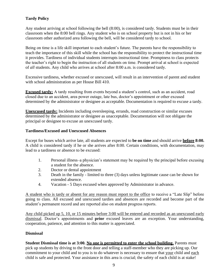#### **Tardy Policy**

Any student arriving at school following the bell (8:00), is considered tardy. Students must be in their classroom when the 8:00 bell rings. Any student who is on school property but is not in his or her classroom other authorized area following the bell, will be considered tardy to school.

Being on time is a life skill important to each student's future. The parents have the responsibility to teach the importance of this skill while the school has the responsibility to protect the instructional time it provides. Tardiness of individual students interrupts instructional time. Promptness to class protects the teacher's right to begin the instruction of all students on time. Prompt arrival at school is expected of *all* students. Any child who arrives at school after 8:00 a.m. is considered tardy.

Excessive tardiness, whether excused or unexcused, will result in an intervention of parent and student with school administration as per House Bill 410.

**Excused tardy:** A tardy resulting from events beyond a student's control, such as an accident, road closed due to an accident, area power outage, late bus, doctor's appointment or other excused determined by the administrator or designee as acceptable. Documentation is required to excuse a tardy.

**Unexcused tardy:** Incidents including oversleeping, errands, road construction or similar excuses determined by the administrator or designee as unacceptable. Documentation will not obligate the principal or designee to excuse an unexcused tardy.

#### **Tardiness/Excused and Unexcused Absences**

Except for buses which arrive late, all students are expected to **be on time** and should arrive **before 8:00.**  A child is considered tardy if he or she arrives after 8:00. Certain conditions, with documentation, may lead to a tardiness or absence to be excused:

- 1. Personal illness–a physician's statement may be required by the principal before excusing a student for the absence.
- 2. Doctor or dental appointment
- 3. Death in the family limited to three (3) days unless legitimate cause can be shown for extended absence.
- 4. Vacation 5 Days excused when approved by Administrator in advance.

A student who is tardy or absent for any reason must report to the office to receive a "Late Slip" before going to class. All excused and unexcused tardies and absences are recorded and become part of the student's permanent record and are reported also on student progress reports.

Any child picked up 5, 10, or 15 minutes before 3:00 will be entered and recorded as an unexcused early dismissal. Doctor's appointments and **prior** excused leaves are an exception. Your understanding, cooperation, patience, and attention to this matter is appreciated.

#### **Dismissal**

**Student Dismissal time is at 3:00. No one is permitted to enter the school building.** Parents must pick up students by driving to the front door and telling a staff-member who they are picking up. Our commitment to your child and to you is to do whatever is necessary to ensure that your child and each child is safe and protected. Your assistance in this area is crucial; the safety of each child is at stake!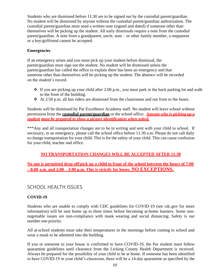Students who are dismissed before 11:30 are to be signed out by the custodial parent/guardian. No student will be dismissed by anyone without the custodial parent/guardian authorization. The custodial parent/guardian must send a written note (signed and dated) if someone other than themselves will be picking up the student. All early dismissals require a note from the custodial parent/guardian. A note from a grandparent, uncle, aunt – or other family member, a stepparent or a boy/girlfriend cannot be accepted.

#### **Emergencies**

If an emergency arises and you must pick up your student before dismissal, the parent/guardian must sign out the student. No student will be dismissed unless the parent/guardian has called the office to explain there has been an emergency and that someone other than themselves will be picking up the student. The absence will be recorded on the student's record.

- $\cdot$  If you are picking up your child after 2:00 p.m., you must park in the back parking lot and walk to the front of the building.
- ❖ At 2:50 p.m. all bus riders are dismissed from the classrooms and out front to the buses.

Students will be dismissed by Par Excellence Academy staff. No student will leave school without permission from the **custodial parent/guardian** or the school office. *Anyone who is picking up a student must be prepared to show a picture identification when asked.*

\*\*\*Any and all transportation changes are to be in writing and sent with your child to school. If necessary, in an emergency, please call the school office before 11:30 a.m. Please do not call daily to change transportation for your child. This is for the safety of your child. This can cause confusion for your child, teacher and office.

#### **NO TRANSPORTATION CHANGES WILL BE ACCEPTED AFTER 11:30**

**No one is permitted drop off/pick up a child in front of the school between the hours of 7:00 – 8:00 a.m. and 2:00 – 3:00 p.m. This is strictly for buses. NO EXCEPTIONS.**

#### SCHOOL HEALTH ISSUES

#### **COVID-19**

Students who are unable to comply with CDC guidelines for COVID-19 (see cdc.gov for more information) will be sent home up to three times before becoming at-home learners. Some nonnegotiable issues are non-compliance with mask wearing and social distancing. Safety is our number one priority.

All at-school students must take their temperatures in the mornings before coming to school and wear a mask to be admitted into the building.

If you or someone in your house is confirmed to have COVID-19, the Par student must follow quarantine guidelines until clearance from the Licking County Health Department is received. Always be prepared for the possibility of your child to be at home. If someone has been identified to have COVID-19 in your child's classroom, there will be a 14-day quarantine as specified by the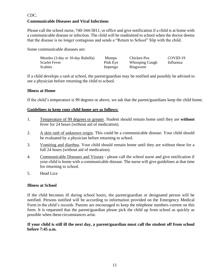#### CDC.

#### **Communicable Diseases and Viral Infections**

Please call the school nurse, 740-344-5811, or office and give notification if a child is at home with a communicable disease or infection. The child will be readmitted to school when the doctor deems that the disease is no longer contagious and sends a "Return to School" Slip with the child.

Some communicable diseases are:

| Measles (3-day or 10-day Rubella) | <b>Mumps</b> | Chicken Pox    | COVID-19  |
|-----------------------------------|--------------|----------------|-----------|
| Scarlet Fever                     | Pink Eye     | Whooping Cough | Influenza |
| Scabies                           | Impetigo     | Ringworm       |           |

If a child develops a rash at school, the parent/guardian may be notified and possibly be advised to see a physician before returning the child to school.

#### **Illness at Home**

If the child's temperature is 99 degrees or above, we ask that the parent/guardians keep the child home.

#### **Guidelines to keep your child home are as follows:**

- 1. Temperature of 99 degrees or greater. Student should remain home until they are **without**  fever for 24 hours (without aid of medication).
- 2. A skin rash of unknown origin. This could be a communicable disease. Your child should be evaluated by a physician before returning to school.
- 3. Vomiting and diarrhea. Your child should remain home until they are without these for a full 24 hours (without aid of medication).
- 4. Communicable Diseases and Viruses please call the school nurse and give notification if your child is home with a communicable disease. The nurse will give guidelines at that time for returning to school.
- 5. Head Lice

#### **Illness at School**

If the child becomes ill during school hours, the parent/guardian or designated person will be notified. Persons notified will be according to information provided on the Emergency Medical Form in the child's records. Parents are encouraged to keep the telephone numbers current on this form. It is requested that the parent/guardian please pick the child up from school as quickly as possible when these circumstances arise.

#### **If your child is still ill the next day, a parent/guardian must call the student off from school before 7:45 a.m.**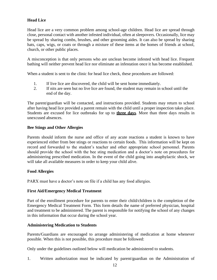#### **Head Lice**

Head lice are a very common problem among school-age children. Head lice are spread through close, personal contact with another infested individual, often at sleepovers. Occasionally, lice may be spread by sharing combs, brushes, and other grooming aides. It can also be spread by sharing hats, caps, wigs, or coats or through a mixture of these items at the homes of friends at school, church, or other public places.

A misconception is that only persons who are unclean become infested with head lice. Frequent bathing will neither prevent head lice nor eliminate an infestation once it has become established.

When a student is sent to the clinic for head lice check, these procedures are followed:

- 1. If live lice are discovered, the child will be sent home immediately.
- 2. If nits are seen but no live lice are found, the student may remain in school until the end of the day.

The parent/guardian will be contacted, and instructions provided. Students may return to school after having head lice provided a parent remain with the child until a proper inspection takes place. Students are excused for lice outbreaks for up to **three days**. More than three days results in unexcused absences.

#### **Bee Stings and Other Allergies**

Parents should inform the nurse and office of any acute reactions a student is known to have experienced either from bee stings or reactions to certain foods. This information will be kept on record and forwarded to the student's teacher and other appropriate school personnel. Parents should provide the school with the bee sting medication and a doctor's note on procedures for administering prescribed medication. In the event of the child going into anaphylactic shock, we will take all available measures in order to keep your child alive.

#### **Food Allergies**

PARX must have a doctor's note on file if a child has any food allergies.

#### **First Aid/Emergency Medical Treatment**

Part of the enrollment procedure for parents to enter their child/children is the completion of the Emergency Medical Treatment Form. This form details the name of preferred physician, hospital and treatment to be administered. The parent is responsible for notifying the school of any changes in this information that occur during the school year.

#### **Administering Medication to Students**

Parents/Guardians are encouraged to arrange administering of medication at home whenever possible. When this is not possible, this procedure must be followed:

Only under the guidelines outlined below will medication be administered to students.

1. Written authorization must be indicated by parent/guardian on the Administration of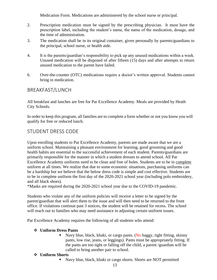Medication Form. Medications are administered by the school nurse or principal.

- 2. Prescription medication must be signed by the prescribing physician. It must have the prescription label, including the student's name, the name of the medication, dosage, and the time of administration.
- 3. The medication shall be in its original container, given personally by parents/guardians to the principal, school nurse, or health aide.
- 4. It is the parents/guardian's responsibility to pick up any unused medications within a week. Unused medication will be disposed of after fifteen (15) days and after attempts to return unused medication to the parent have failed.
- 6. Over-the-counter (OTC) medications require a doctor's written approval. Students cannot bring in medication.

#### BREAKFAST/LUNCH

All breakfast and lunches are free for Par Excellence Academy. Meals are provided by Heath City Schools.

In order to keep this program, all families are to complete a form whether or not you know you will qualify for free or reduced lunch.

#### STUDENT DRESS CODE

Upon enrolling students to Par Excellence Academy, parents are made aware that we are a uniform school. Maintaining a pleasant environment for learning, good grooming and good health habits are essential to the successful achievement of each student. Parents/guardians are primarily responsible for the manner in which a student dresses to attend school. All Par Excellence Academy uniforms need to be clean and free of holes. Students are to be in complete uniform at all times. We realize that due to some economic situations, purchasing uniforms can be a hardship but we believe that the below dress code is simple and cost effective. Students are to be in complete uniform the first day of the 2020-2021 school year (including polo embroidery, and all black shoes).

\*Masks are required during the 2020-2021 school year due to the COVID-19 pandemic.

Students who violate any of the uniform policies will receive a letter to be signed by the parent/guardian that will alert them to the issue and will then need to be returned to the front office. If violations continue past 3 notices, the student will be retained for recess. The school will reach out to families who may need assistance in adjusting certain uniform issues.

Par Excellence Academy requires the following of all students who attend:

#### ❖ **Uniform Dress Pants**

Navy blue, black, khaki, or cargo pants. (No baggy, tight fitting, skinny pants, low rise, jeans, or leggings). Pants must be appropriately fitting. If the pants are too tight or falling off the child, a parent /guardian will be called to bring another pair to school.

#### ❖ **Uniform Shorts**

Navy blue, black, khaki or cargo shorts. Shorts are NOT permitted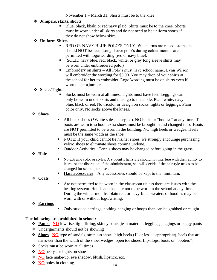November 1 – March 31. Shorts must be to the knee.

#### ❖ **Jumpers, skirts, skorts**

Blue, black, khaki or red/navy plaid. Skirts must be to the knee. Shorts must be worn under all skirts and do not need to be uniform shorts if they do not show below skirt.

#### ❖ **Uniform Shirts**

- **EXELORER INCO IS CONCOTED FOLLOW FOR A READ FIGURE 1** READ OR NAVY BLUE POLO'S ONLY. When arms are raised, stomachs should NOT be seen. Long sleeve polo's during colder months are permitted with logo/wording (red or navy blue).
- (SOLID navy blue, red, black, white, or grey long sleeve shirts may be worn under embroidered polo.)
- Embroidery on shirts All Polo's must have school name. Lynn Wilson will embroider the wording for \$3.00. You may drop of your shirts at the school for her to embroider. Logo/wording must be on shirts even if worn under a jumper.

#### ❖ **Socks/Tights**

Socks must be worn at all times. Tights must have feet. Leggings can only be worn under skirts and must go to the ankle. Plain white, navy blue, black or red. No tricolor or design on socks, tights or leggings. Plain color only. No socks above the knees.

#### ❖ **Shoes**

- All black shoes (\*White soles, accepted). NO boots or "booties" at any time. If boots are worn to school, extra shoes must be brought in and changed into. Boots are NOT permitted to be worn in the building. NO high heels or wedges. Heels must be the same width as the shoe.
- NOTE: If your child cannot tie his/her shoes, we strongly encourage purchasing velcro shoes to eliminate shoes coming undone.
- Outdoor Activities– Tennis shoes may be changed before going in the grass.

#### ❖ **Hair**

- No extreme color or styles. A student's hairstyle should not interfere with their ability to learn. At the discretion of the administrator, she will decide if the hairstyle needs to be changed for school purposes.
- **Hair accessories** Any accessories should be kept to the minimum.

#### ❖ **Coats**

Are not permitted to be worn in the classroom unless there are issues with the heating system. Hoods and hats are not to be worn in the school at any time. During the winter months, plain red, or navy-blue sweaters or hoodies may be worn with or without logo/writing.

#### ❖ **Earrings**

Only studded earrings, nothing hanging or hoops than can be grabbed or caught.

#### **The following are prohibited in school:**

- ❖ **Pants – NO** low rise, tight fitting, skinny pants, jean material, leggings, jeggings or baggy pants
- ❖ Undergarments should not be showing
- ❖ **Shoes NO** type of sandals, strapless shoes, high heels (1" or less is appropriate), heels that are narrower than the width of the shoe, wedges, open toe shoes, flip-flops, boots or "booties".
- ❖ Socks **must** be worn at all times
- ❖ **NO** heelys or lights on shoes
- ❖ **NO** face make-up, eye shadow, blush, lipstick, etc.
- ❖ **NO** holes in clothing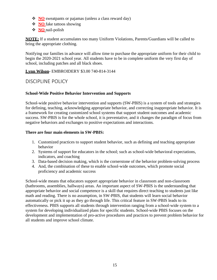- ❖ **NO** sweatpants or pajamas (unless a class reward day)
- ❖ **NO** fake tattoos showing
- ❖ **NO** nail-polish

**NOTE:** If a student accumulates too many Uniform Violations, Parents/Guardians will be called to bring the appropriate clothing.

Notifying our families in advance will allow time to purchase the appropriate uniform for their child to begin the 2020-2021 school year. All students have to be in complete uniform the very first day of school, including patches and all black shoes.

#### **Lynn Wilson-** EMBROIDERY \$3.00 740-814-3144

#### DISCIPLINE POLICY

#### **School-Wide Positive Behavior Intervention and Supports**

School-wide positive behavior intervention and supports (SW-PBIS) is a system of tools and strategies for defining, teaching, acknowledging appropriate behavior, and correcting inappropriate behavior. It is a framework for creating customized school systems that support student outcomes and academic success. SW-PBIS is for the whole school, it is preventative, and it changes the paradigm of focus from negative behaviors and exchanges to positive expectations and interactions.

#### **There are four main elements in SW-PBIS:**

- 1. Customized practices to support student behavior, such as defining and teaching appropriate behavior
- 2. Systems of support for educators in the school; such as school-wide behavioral expectations, indicators, and coaching
- 3. Data-based decision making, which is the cornerstone of the behavior problem-solving process
- 4. And, the combination of these to enable school-wide outcomes, which promote social proficiency and academic success

School-wide means that educators support appropriate behavior in classroom and non-classroom (bathrooms, assemblies, hallways) areas. An important aspect of SW-PBIS is the understanding that appropriate behavior and social competence is a skill that requires direct teaching to students just like math and reading. There is no assumption, in SW-PBIS, that students will learn social behavior automatically or pick it up as they go through life. This critical feature in SW-PBIS leads to its effectiveness. PBIS supports all students through intervention ranging from a school-wide system to a system for developing individualized plans for specific students. School-wide PBIS focuses on the development and implementation of pro-active procedures and practices to prevent problem behavior for all students and improve school climate.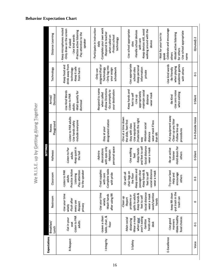|                     |                                                                                                          |                                                                                                                                                       |                                                                                                                                                       | <b>SETTINGS</b>                                                                            |                                                                                                                                                                                          |                                                                                                          |                                                                                             |                                                                                                                                                       |
|---------------------|----------------------------------------------------------------------------------------------------------|-------------------------------------------------------------------------------------------------------------------------------------------------------|-------------------------------------------------------------------------------------------------------------------------------------------------------|--------------------------------------------------------------------------------------------|------------------------------------------------------------------------------------------------------------------------------------------------------------------------------------------|----------------------------------------------------------------------------------------------------------|---------------------------------------------------------------------------------------------|-------------------------------------------------------------------------------------------------------------------------------------------------------|
| <b>Expectations</b> | Breakfast/<br>Lunch                                                                                      | Restroom                                                                                                                                              | Classroom                                                                                                                                             | Hallways                                                                                   | Playground<br>Recess                                                                                                                                                                     | Dismissal<br>Arrival/                                                                                    | Technology                                                                                  | Distance Learning                                                                                                                                     |
| R-Respect           | -Listen to PAR<br>-Eat in your<br>adults<br>seat                                                         | -Use your time<br>-Flush after<br>every use<br>-Respect<br>privacy<br>wisely                                                                          | -Practice Active<br>to the speaker<br>-Listen to PAR<br>-Pay attention<br>Listening<br>adults                                                         | Keep quiet in<br>-Listen to Par<br>the hall<br>adults                                      | -Listen to PAR adults<br>-Include everyone<br>-Use hands safely                                                                                                                          | <b>Use Kind Words</b><br>-Wait quietly for<br>-Listen to PAR<br>dismissal<br>adults                      | drink away from<br>-Keep food and<br>Keep it safe<br>technology<br>from harm                | - Keep microphones muted<br>-Only draw on the screen<br>Practice active listening<br>-Pay attention to the<br>- Use kind words<br>speaker<br>if asked |
| I-Integrity         | -Leave a clean<br>table, chair, &<br>floor                                                               | -Use your time<br>after using RR<br>-Wash hands<br>wisely                                                                                             | -Complete tasks<br>-Treat supplies<br>with pride<br>with care                                                                                         | personal space<br>with eyes only<br>decorations<br>-Maintain<br>Admire                     | designated station<br>Stay at your                                                                                                                                                       | Respond to name<br><b>Follow Directions</b><br>-Go promptly to<br>your destination<br>when called        | assigned iPad or<br>- Only log into<br>Technology<br>your assign<br>schoolwork<br>-Only use | Complete your own work<br>- Participate in instruction<br>-Respond to teacher<br>when called on<br>-Protect school<br>technology<br>daily             |
| S-Safety            | Wear a mask<br>aren't eating<br>Main social<br>distancing<br>when your<br>hands and<br>-Sanitize<br>desk | Social distance<br>spills to adults<br>-wash/sanitize<br>Keep hands &<br>-wear a mask<br>problems or<br>feet to self<br>-Clean up<br>-Report<br>hands | -Keep aisles and<br>-social distance<br>passages clear<br>-Keep hands &<br>-wear a mask<br>chair legs on<br>feet to self<br>Sit with all<br>the floor | Social distance<br>and feet to self<br>-wear a mask<br>-Use walking<br>-Keep hands<br>feet | -One at a time down<br>/materials the right<br>the slide, feet first<br>-wear mask if less<br>-Use equipment<br>Maintain social<br>Stay with class<br>distance<br>than 6ft<br><b>VEW</b> | Keep hands and<br>-maintain social<br>appropriately<br>wear mask<br>feet to self<br>-Line up<br>distance | -Use appropriate<br>-Keep personal<br>information<br>school sites<br>private                | Keep devices still, avoid<br>walking around with the<br>-Use school appropriate<br>-Handle school devices<br>with care<br>device<br>sites             |
| E-Excellence        | -Make healthy<br>food choices<br>-Use good<br>manners                                                    | -put trash in the<br>-keep RR clean<br>trash can                                                                                                      | -Try your best<br>encourage<br>-Help and<br>others                                                                                                    | Hold doors for<br>-Be an active<br>listener<br>others                                      | Put equipment away<br>-Clean up any litter<br>Follow line-up<br>procedures                                                                                                               | -Use zero noise<br>when exiting<br>-Be Kind                                                              | academic games<br>-Use kind words<br>when playing<br>-Be friendly<br>with others            | Celebrate and encourage<br>Use school appropriate<br>-Model active listening<br>- Wait for your turn to<br>for others<br>others<br>speak<br>name      |
| Voice               | $0-1$                                                                                                    | $\circ$                                                                                                                                               | $0-3$                                                                                                                                                 | 0-Silent                                                                                   | 0-4-Outside Voice                                                                                                                                                                        | 0 Silent                                                                                                 | G <sub>1</sub>                                                                              | 0(muted)-2                                                                                                                                            |

# We R.I.S.E. up by Getting Along Together

#### **Behavior Expectation Chart**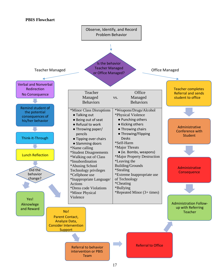#### **PBIS Flowchart**

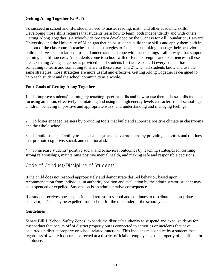#### **Getting Along Together (G.A.T)**

To succeed in school and life, students need to master reading, math, and other academic skills. Developing those skills requires that students learn how to learn, both independently and with others. Getting Along Together is a schoolwide program developed by the Success for All Foundation, Harvard University, and the University of Michigan that helps students build these skills and apply them both in and out of the classroom. It teaches students strategies to focus their thinking, manage their behavior, build positive social relationships, and understand and cope with their feelings—all in ways that support learning and life success. All students come to school with different strengths and experiences in these areas. Getting Along Together is provided to all students for two reasons: 1) every student has something to learn and something to share in these areas, and 2) when all students know and use the same strategies, those strategies are more useful and effective. Getting Along Together is designed to help each student and the school community as a whole.

#### **Four Goals of Getting Along Together**

1. To improve students' learning by teaching specific skills and how to use them. These skills include focusing attention, effectively maintaining and using the high energy levels characteristic of school-age children, behaving in positive and appropriate ways, and understanding and managing feelings

2. To foster engaged learners by providing tools that build and support a positive climate in classrooms and the whole school

3. To build students' ability to face challenges and solve problems by providing activities and routines that promote cognitive, social, and emotional skills

4. To increase students' positive social and behavioral outcomes by teaching strategies forforming strong relationships, maintaining positive mental health, and making safe and responsible decisions.

#### Code of Conduct/Discipline of Students

If the child does not respond appropriately and demonstrate desired behavior, based upon recommendation from individual in authority position and evaluation by the administrator, student may be suspended or expelled. Suspension is an administrative consequence.

If a student receives one suspension and returns to school and continues to distribute inappropriate behavior, he/she may be expelled from school for the remainder of the school year.

#### **Guidelines**

Senate Bill 1 (School Safety Zones) expands the district's authority to suspend and expel students for misconduct that occurs off of district property but is connected to activities or incidents that have occurred on district property or school related functions. This includes misconduct by a student that regardless of where it occurs is directed at a district official or employee or the property of an official or employee.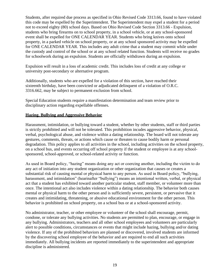Students, after required due process as specified in Ohio Revised Code 3313.66, found to have violated this code may be expelled by the Superintendent. The Superintendent may expel a student for a period not to exceed eighty (80) school days. Based on Ohio Revised Code Section 3313.66 - Expulsion, students who bring firearms on to school property, in a school vehicle, or at any school-sponsored event shall be expelled for ONE CALENDAR YEAR. Students who bring knives onto school property, in a parked vehicle on school property, or at any school sponsored activity may be expelled for ONE CALENDAR YEAR. This includes any adult crime that a student may commit while under the custody and control of the school or at any school related function. Students will receive no grades for schoolwork during an expulsion. Students are officially withdrawn during an expulsion.

Expulsion will result in a loss of academic credit. This includes loss of credit at any college or university post-secondary or alternative program.

Additionally, students who are expelled for a violation of this section, have reached their sixteenth birthday, have been convicted or adjudicated delinquent of a violation of O.R.C. 3316.662, may be subject to permanent exclusion from school.

Special Education students require a manifestation determination and team review prior to disciplinary action regarding expellable offenses.

#### **Hazing, Bullying and Aggressive Behavior**

Harassment, intimidation, or bullying toward a student, whether by other students, staff or third parties is strictly prohibited and will not be tolerated. This prohibition incudes aggressive behavior, physical, verbal, psychological abuse, and violence within a dating relationship. The board will not tolerate any gestures, comments, threats, or actions which cause or threaten to cause bodily harm or personal degradation. This policy applies to all activities in the school, including activities on the school property, on a school bus, and events occurring off school property if the student or employee is at any schoolsponsored, school-approved, or school-related activity or function.

As used in Board policy, "hazing" means doing any act or coercing another, including the victim to do any act of initiation into any student organization or other organization that causes or creates a substantial risk of causing mental or physical harm to any person. As used in Board policy, "bullying, harassment, and intimidation" (hearinafter "bullying") means an intentional written, verbal, or physical act that a student has exhibited toward another particular student, staff member, or volunteer more than once. The intentional act also includes violence within a dating relationship. The behavior both causes mental or physical harm to the other person and is sufficiently severe, persistent, or pervasive that it creates and intimidating, threatening, or abusive educational environment for the other person. This behavior is prohibited on school property, on a school bus or at a school-sponsored activity.

No administrator, teacher, or other employee or volunteer of the school shall encourage, permit, condone, or tolerate any bullying activities. No students are permitted to plan, encourage, or engage in any bullying. Administrators, teachers and all other school employees and volunteers are particularly alert to possible conditions, circumstances or events that might include hazing, bullying and/or dating violence. If any of the prohibited behaviors are planned or discovered, involved students are informed by the discovering school employee of the behavior and are required to end all such activities immediately. All bullying incidents are reported immediately to the superintendent and appropriate discipline is administered.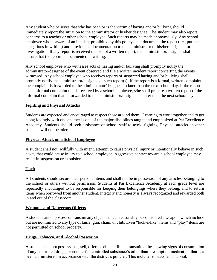Any student who believes that s/he has been or is the victim of hazing and/or bullying should immediately report the situation to the administrator or his/her designee. The student may also report concerns to a teacher or other school employee. Such reports may be made anonymously. Any school employee who is aware of an incident prohibited by this policy shall document the report (i.e., put the allegations in writing) and provide the documentation to the administrator or his/her designee for investigation. If any report is received that is not a written report, the administrator/designee shall ensure that the report is documented in writing.

Any school employee who witnesses acts of hazing and/or bullying shall promptly notify the administrator/designee of the event observed and file a written incident report concerting the events witnessed. Any school employee who receives reports of suspected hazing and/or bullying shall promptly notify the administrator/designee of such report(s). If the report is a formal, written complaint, the complaint is forwarded to the administrator/designee no later than the next school day. If the report is an informal complaint that is received by a school employee, s/he shall prepare a written report of the informal complain that is forwarded to the administrator/designee no later than the next school day.

#### **Fighting and Physical Attacks**

Students are expected and encouraged to respect those around them. Learning to work together and to get along lovingly with one another is one of the major disciplines taught and emphasized at Par Excellence Academy. Students should seek assistance of school staff to avoid fighting. Physical attacks on other students will not be tolerated.

#### **Physical Attack on a School Employee**

A student shall not, willfully with intent, attempt to cause physical injury or intentionally behave in such a way that could cause injury to a school employee. Aggressive contact toward a school employee may result in suspension or expulsion.

#### **Theft**

All students should secure their personal items and shall not be in possession of any articles belonging to the school or others without permission. Students at Par Excellence Academy at each grade level are repeatedly encouraged to be responsible for keeping their belongings where they belong, and to return items when borrowed from another student. Integrity and honesty is always recognized and rewarded both in and out of the classroom.

#### **Weapons and Dangerous Objects**

A student cannot possess or transmit any object that can reasonably be considered a weapon, which include but are not limited to any type of knife, gun, chain, or club. Even "look-a-like" items and "play" items are not permitted on school property.

#### **Drugs, Tobacco, and Alcohol Possession**

A student shall not possess, use, sell, offer to sell, distribute, transmit, or be showing signs of consumption of any controlled drugs, or counterfeit controlled substance's other than prescription medication that has been administered in accordance with the district's policies. This includes tobacco and alcohol.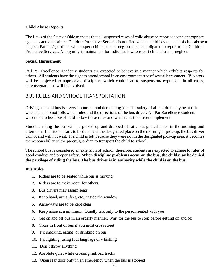#### **Child Abuse Reports**

The Laws of the State of Ohio mandate that all suspected cases of child abuse be reported to the appropriate agencies and authorities. Children Protective Services is notified when a child is suspected of childabuseor neglect. Parents/guardians who suspect child abuse or neglect are also obligated to report to the Children Protective Services. Anonymity is maintained for individuals who report child abuse or neglect.

#### **Sexual Harassment**

All Par Excellence Academy students are expected to behave in a manner which exhibits respects for others. All students have the right to attend school in an environment free of sexual harassment. Violators will be subjected to appropriate discipline, which could lead to suspension/ expulsion. In all cases, parents/guardians will be involved.

#### BUS RULES AND SCHOOL TRANSPORTATION

Driving a school bus is a very important and demanding job. The safety of all children may be at risk when riders do not follow bus rules and the directions of the bus driver**.** All Par Excellence students who ride a school bus should follow these rules and what rules the drivers implement:

Students riding the bus will be picked up and dropped off at a designated place in the morning and afternoon. If a student fails to be outside at the designated place on the morning of pick-up, the bus driver cannot and will not wait. If a child is left because they were not in the designated pick-up area, it becomes the responsibility of the parent/guardian to transport the child to school.

The school bus is considered an extension of school; therefore, students are expected to adhere to rules of good conduct and proper safety. **When discipline problems occur on the bus, the child may be denied the privilege of riding the bus. The bus driver is in authority while the child is on the bus.**

#### **Bus Rules**

- 1. Riders are to be seated while bus is moving
- 2. Riders are to make room for others.
- 3. Bus drivers may assign seats
- 4. Keep hand, arms, feet, etc., inside the window
- 5. Aisle-ways are to be kept clear
- 6. Keep noise at a minimum. Quietly talk only to the person seated with you
- 7. Get on and off bus in an orderly manner. Wait for the bus to stop before getting on and off
- 8. Cross in front of bus if you must cross street
- 9. No smoking, eating, or drinking on bus
- 10. No fighting, using foul language or whistling
- 11. Don't throw anything
- 12. Absolute quiet while crossing railroad tracks
- 13. Open rear door only in an emergency when the bus is stopped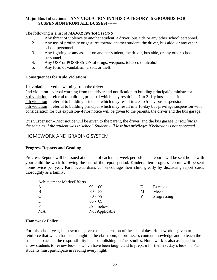#### **Major Bus Infractions—ANY VIOLATION IN THIS CATEGORY IS GROUNDS FOR SUSPENSION FROM ALL BUSSES! ------**

#### The following is a list of *MAJOR INFRACTIONS*

- 1. Any threat of violence to another student, a driver, bus aide or any other school personnel.
- 2. Any use of profanity or gestures toward another student, the driver, bus aide, or any other school personnel
- 3. Any fighting or any assault on another student, the driver, bus aide, or any other school personnel.
- 4. Any USE or POSSESSION of drugs, weapons, tobacco or alcohol.
- 5. Any form of vandalism, arson, or theft.

#### **Consequences for Rule Violations**

1st violation – verbal warning from the driver

2nd violation – verbal warning from the driver and notification to building principal/administrator 3rd violation – referral to building principal which may result in a 1 to 3-day bus suspension 4th violation – referral to building principal which may result in a 3 to 5-day bus suspension. 5th violation – referral to building principal which may result in a 10-day bus privilege suspension with consideration for bus expulsion--Prior notice will be given to the parents, the driver and the bus garage.

Bus Suspension--Prior notice will be given to the parent, the driver, and the bus garage. *Discipline is the same as if the student was in school. Student will lose bus privileges if behavior is not corrected.*

#### HOMEWORK AND GRADING SYSTEM

#### **Progress Reports and Grading**

Progress Reports will be issued at the end of each nine-week periods. The reports will be sent home with your child the week following the end of the report period. Kindergarten progress reports will be sent home twice per year. Parents/Guardians can encourage their child greatly by discussing report cards thoroughly as a family.

|--|

| A           | $90 - 100$     | E | Exceeds  |
|-------------|----------------|---|----------|
| B           | $80 - 89$      | M | Meets    |
| $\mathbf C$ | $70 - 79$      | P | Progress |
| D           | $60 - 69$      |   |          |
| F           | $59 -$ below   |   |          |
| N/A         | Not Applicable |   |          |

P Progressing

#### **Homework Policy**

For this school year, homework is given as an extension of the school day. Homework is given to reinforce that which has been taught in the classroom, to pre-assess content knowledge and to teach the students to accept the responsibility in accomplishing his/her studies. Homework is also assigned to allow students to review lessons which have been taught and to prepare for the next day's lessons. Par students must participate in reading every night.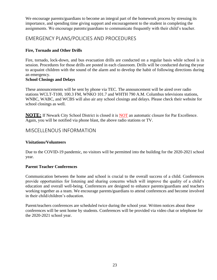We encourage parents/guardians to become an integral part of the homework process by stressing its importance, and spending time giving support and encouragement to the student in completing the assignments. We encourage parents/guardians to communicate frequently with their child's teacher.

#### EMERGENCY PLANS/POLICIES AND PROCEDURES

#### **Fire, Tornado and Other Drills**

Fire, tornado, lock-down, and bus evacuation drills are conducted on a regular basis while school is in session. Procedures for those drills are posted in each classroom. Drills will be conducted during theyear to acquaint children with the sound of the alarm and to develop the habit of following directions during an emergency.

#### **School Closings and Delays**

These announcements will be sent by phone via TEC. The announcement will be aired over radio stations WCLT-T100, 100.3 FM, WNKO 101.7 and WHTH 790 A.M. Columbus televisions stations, WNBC, WABC, and WCBS will also air any school closings and delays. Please check their website for school closings as well.

**NOTE:** If Newark City School District is closed it is NOT an automatic closure for Par Excellence. Again, you will be notified via phone blast, the above radio stations or TV.

#### MISCELLENOUS INFORMATION

#### **Visitations/Volunteers**

Due to the COVID-19 pandemic, no visitors will be permitted into the building for the 2020-2021 school year.

#### **Parent Teacher Conferences**

Communication between the home and school is crucial to the overall success of a child. Conferences provide opportunities for listening and sharing concerns which will improve the quality of a child's education and overall well-being. Conferences are designed to enhance parents/guardians and teachers working together as a team. We encourage parents/guardians to attend conferences and become involved in their child/children's education.

Parent/teachers conferences are scheduled twice during the school year. Written notices about these conferences will be sent home by students. Conferences will be provided via video chat or telephone for the 2020-2021 school year.